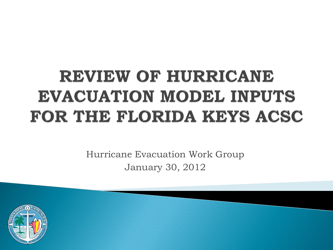# REVIEW OF HURRICANE **EVACUATION MODEL INPUTS** FOR THE FLORIDA KEYS ACSC

Hurricane Evacuation Work Group January 30, 2012

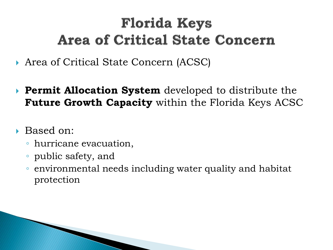# **Florida Keys Area of Critical State Concern**

- Area of Critical State Concern (ACSC)
- **Permit Allocation System** developed to distribute the **Future Growth Capacity** within the Florida Keys ACSC
- ▶ Based on:
	- hurricane evacuation,
	- public safety, and
	- environmental needs including water quality and habitat protection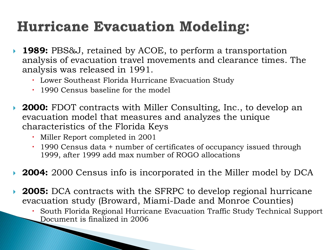# **Hurricane Evacuation Modeling:**

- **1989:** PBS&J, retained by ACOE, to perform a transportation analysis of evacuation travel movements and clearance times. The analysis was released in 1991.
	- Lower Southeast Florida Hurricane Evacuation Study
	- 1990 Census baseline for the model
- **2000:** FDOT contracts with Miller Consulting, Inc., to develop an evacuation model that measures and analyzes the unique characteristics of the Florida Keys
	- Miller Report completed in 2001
	- 1990 Census data + number of certificates of occupancy issued through 1999, after 1999 add max number of ROGO allocations
- **2004:** 2000 Census info is incorporated in the Miller model by DCA
- **2005:** DCA contracts with the SFRPC to develop regional hurricane evacuation study (Broward, Miami-Dade and Monroe Counties)
	- South Florida Regional Hurricane Evacuation Traffic Study Technical Support Document is finalized in 2006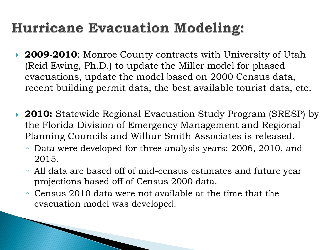# **Hurricane Evacuation Modeling:**

- **2009-2010**: Monroe County contracts with University of Utah (Reid Ewing, Ph.D.) to update the Miller model for phased evacuations, update the model based on 2000 Census data, recent building permit data, the best available tourist data, etc.
- ▶ 2010: Statewide Regional Evacuation Study Program (SRESP) by the Florida Division of Emergency Management and Regional Planning Councils and Wilbur Smith Associates is released.
	- Data were developed for three analysis years: 2006, 2010, and 2015.
	- All data are based off of mid-census estimates and future year projections based off of Census 2000 data.
	- Census 2010 data were not available at the time that the evacuation model was developed.

**The Common Street, Inc., and Inc., and Inc., and Inc., and Inc., and Inc., and Inc., and Inc., and Inc., and**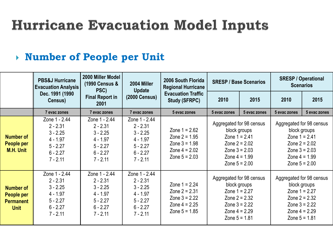#### **Number of People per Unit**

|                                                                   | <b>PBS&amp;J Hurricane</b><br><b>Evacuation Analysis</b>                                          | 2000 Miller Model<br>(1990 Census &<br>PSC)                                                       | 2004 Miller<br><b>Update</b>                                                                      | 2006 South Florida<br><b>Regional Hurricane</b>                                             | <b>SRESP / Base Scenarios</b>                                                                                                           |              | <b>SRESP / Operational</b><br><b>Scenarios</b>                                                                                          |              |  |
|-------------------------------------------------------------------|---------------------------------------------------------------------------------------------------|---------------------------------------------------------------------------------------------------|---------------------------------------------------------------------------------------------------|---------------------------------------------------------------------------------------------|-----------------------------------------------------------------------------------------------------------------------------------------|--------------|-----------------------------------------------------------------------------------------------------------------------------------------|--------------|--|
|                                                                   | Dec. 1991 (1990)<br>Census)                                                                       | <b>Final Report in</b><br>2001                                                                    | <b>(2000 Census)</b>                                                                              | <b>Evacuation Traffic</b><br><b>Study (SFRPC)</b>                                           | 2010                                                                                                                                    | 2015         | 2010                                                                                                                                    | 2015         |  |
|                                                                   | 7 evac zones                                                                                      | 7 evac zones                                                                                      | 7 evac zones                                                                                      | 5 evac zones                                                                                | 5 evac zones                                                                                                                            | 5 evac zones | 5 evac zones                                                                                                                            | 5 evac zones |  |
| <b>Number of</b><br><b>People per</b><br><b>M.H. Unit</b>         | Zone 1 - 2.44<br>$2 - 2.31$<br>$3 - 2.25$<br>$4 - 1.97$<br>$5 - 2.27$<br>$6 - 2.27$<br>$7 - 2.11$ | Zone 1 - 2.44<br>$2 - 2.31$<br>$3 - 2.25$<br>$4 - 1.97$<br>$5 - 2.27$<br>$6 - 2.27$<br>$7 - 2.11$ | Zone 1 - 2.44<br>$2 - 2.31$<br>$3 - 2.25$<br>$4 - 1.97$<br>$5 - 2.27$<br>$6 - 2.27$<br>$7 - 2.11$ | Zone $1 = 2.62$<br>Zone $2 = 1.95$<br>Zone $3 = 1.98$<br>Zone $4 = 2.02$<br>Zone $5 = 2.03$ | Aggregated for 98 census<br>block groups<br>Zone $1 = 2.41$<br>Zone $2 = 2.02$<br>Zone $3 = 2.03$<br>Zone $4 = 1.99$<br>Zone $5 = 2.00$ |              | Aggregated for 98 census<br>block groups<br>Zone $1 = 2.41$<br>Zone $2 = 2.02$<br>Zone $3 = 2.03$<br>Zone $4 = 1.99$<br>Zone $5 = 2.00$ |              |  |
| <b>Number of</b><br>People per<br><b>Permanent</b><br><b>Unit</b> | Zone 1 - 2.44<br>$2 - 2.31$<br>$3 - 2.25$<br>$4 - 1.97$<br>$5 - 2.27$<br>$6 - 2.27$<br>$7 - 2.11$ | Zone 1 - 2.44<br>$2 - 2.31$<br>$3 - 2.25$<br>$4 - 1.97$<br>$5 - 2.27$<br>$6 - 2.27$<br>$7 - 2.11$ | Zone 1 - 2.44<br>$2 - 2.31$<br>$3 - 2.25$<br>$4 - 1.97$<br>$5 - 2.27$<br>$6 - 2.27$<br>$7 - 2.11$ | Zone $1 = 2.24$<br>Zone $2 = 2.31$<br>Zone $3 = 2.22$<br>Zone $4 = 2.25$<br>Zone $5 = 1.85$ | Aggregated for 98 census<br>block groups<br>Zone $1 = 2.27$<br>Zone $2 = 2.32$<br>Zone $3 = 2.22$<br>Zone $4 = 2.29$<br>Zone $5 = 1.81$ |              | Aggregated for 98 census<br>block groups<br>Zone $1 = 2.27$<br>Zone $2 = 2.32$<br>Zone $3 = 2.22$<br>Zone $4 = 2.29$<br>Zone $5 = 1.81$ |              |  |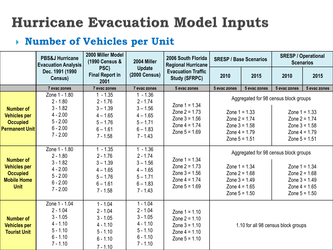#### **Number of Vehicles per Unit**

|                                                                                                 | 2000 Miller Model<br><b>PBS&amp;J Hurricane</b><br>(1990 Census &<br><b>Evacuation Analysis</b>   |                                                                                                | 2004 Miller                                                                                    | 2006 South Florida<br><b>Regional Hurricane</b>                                             | <b>SRESP / Base Scenarios</b>                                                                                                        |              | <b>SRESP / Operational</b><br><b>Scenarios</b>                                                                                       |              |
|-------------------------------------------------------------------------------------------------|---------------------------------------------------------------------------------------------------|------------------------------------------------------------------------------------------------|------------------------------------------------------------------------------------------------|---------------------------------------------------------------------------------------------|--------------------------------------------------------------------------------------------------------------------------------------|--------------|--------------------------------------------------------------------------------------------------------------------------------------|--------------|
|                                                                                                 | Dec. 1991 (1990<br>Census)                                                                        | PSC)<br><b>Final Report in</b><br>2001                                                         | <b>Update</b><br><b>(2000 Census)</b>                                                          | <b>Evacuation Traffic</b><br><b>Study (SFRPC)</b>                                           | 2010                                                                                                                                 | 2015         | 2010                                                                                                                                 | 2015         |
|                                                                                                 | 7 evac zones                                                                                      | 7 evac zones                                                                                   | 7 evac zones                                                                                   | 5 evac zones                                                                                | 5 evac zones                                                                                                                         | 5 evac zones | 5 evac zones                                                                                                                         | 5 evac zones |
| <b>Number of</b><br><b>Vehicles per</b><br><b>Occupied</b><br><b>Permanent Unit</b>             | Zone 1 - 1.80<br>$2 - 1.80$<br>$3 - 1.82$<br>$4 - 2.00$<br>$5 - 2.00$<br>$6 - 2.00$<br>$7 - 2.00$ | $1 - 1.35$<br>$2 - 1.76$<br>$3 - 1.39$<br>$4 - 1.65$<br>$5 - 1.76$<br>$6 - 1.61$<br>$7 - 1.58$ | $1 - 1.36$<br>$2 - 1.74$<br>$3 - 1.56$<br>$4 - 1.65$<br>$5 - 1.71$<br>$6 - 1.83$<br>$7 - 1.43$ | Zone $1 = 1.34$<br>Zone $2 = 1.73$<br>Zone $3 = 1.56$<br>Zone $4 = 1.74$<br>Zone $5 = 1.69$ | Zone $1 = 1.33$<br>Zone $2 = 1.74$<br>Zone $3 = 1.58$<br>Zone $4 = 1.79$<br>Zone $5 = 1.51$                                          |              | Aggregated for 98 census block groups<br>Zone $1 = 1.33$<br>Zone $2 = 1.74$<br>Zone $3 = 1.58$<br>Zone $4 = 1.79$<br>Zone $5 = 1.51$ |              |
| <b>Number of</b><br><b>Vehicles per</b><br><b>Occupied</b><br><b>Mobile Home</b><br><b>Unit</b> | Zone 1 - 1.80<br>$2 - 1.80$<br>$3 - 1.82$<br>$4 - 2.00$<br>$5 - 2.00$<br>$6 - 2.00$<br>$7 - 2.00$ | $1 - 1.35$<br>$2 - 1.76$<br>$3 - 1.39$<br>$4 - 1.65$<br>$5 - 1.76$<br>$6 - 1.61$<br>$7 - 1.58$ | $1 - 1.36$<br>$2 - 1.74$<br>$3 - 1.56$<br>$4 - 1.65$<br>$5 - 1.71$<br>$6 - 1.83$<br>$7 - 1.43$ | Zone $1 = 1.34$<br>Zone $2 = 1.73$<br>Zone $3 = 1.56$<br>Zone $4 = 1.74$<br>Zone $5 = 1.69$ | Aggregated for 98 census block groups<br>Zone $1 = 1.34$<br>Zone $2 = 1.68$<br>Zone $3 = 1.49$<br>Zone $4 = 1.65$<br>Zone $5 = 1.50$ |              | Zone $1 = 1.34$<br>Zone $2 = 1.68$<br>Zone $3 = 1.49$<br>Zone $4 = 1.65$<br>Zone $5 = 1.50$                                          |              |
| <b>Number of</b><br><b>Vehicles per</b><br><b>Tourist Unit</b>                                  | Zone 1 - 1.04<br>$2 - 1.04$<br>$3 - 1.05$<br>$4 - 1.10$<br>$5 - 1.10$<br>$6 - 1.10$<br>$7 - 1.10$ | $1 - 1.04$<br>$2 - 1.04$<br>$3 - 1.05$<br>$4 - 1.10$<br>$5 - 1.10$<br>$6 - 1.10$<br>$7 - 1.10$ | $1 - 1.04$<br>$2 - 1.04$<br>$3 - 1.05$<br>$4 - 1.10$<br>$5 - 1.10$<br>$6 - 1.10$<br>$7 - 1.10$ | Zone $1 = 1.10$<br>Zone $2 = 1.10$<br>Zone $3 = 1.10$<br>Zone $4 = 1.10$<br>Zone $5 = 1.10$ | 1.10 for all 98 census block groups                                                                                                  |              |                                                                                                                                      |              |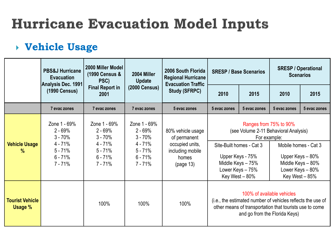### **Vehicle Usage**

|                                          | <b>PBS&amp;J Hurricane</b><br><b>Evacuation</b><br>Analysis Dec. 1991                      | 2000 Miller Model<br>(1990 Census &<br>PSC)                                              | 2004 Miller<br>Update                                                                      | 2006 South Florida<br><b>Regional Hurricane</b><br><b>Evacuation Traffic</b>                   | <b>SRESP / Base Scenarios</b>                                                                                                                                                              |              | <b>SRESP / Operational</b><br><b>Scenarios</b> |                                                                                                     |
|------------------------------------------|--------------------------------------------------------------------------------------------|------------------------------------------------------------------------------------------|--------------------------------------------------------------------------------------------|------------------------------------------------------------------------------------------------|--------------------------------------------------------------------------------------------------------------------------------------------------------------------------------------------|--------------|------------------------------------------------|-----------------------------------------------------------------------------------------------------|
|                                          | (1990 Census)                                                                              | <b>Final Report in</b><br>2001                                                           | <b>(2000 Census)</b>                                                                       | <b>Study (SFRPC)</b>                                                                           | 2010                                                                                                                                                                                       | 2015         | 2010                                           | 2015                                                                                                |
|                                          | 7 evac zones                                                                               | 7 evac zones                                                                             | 7 evac zones                                                                               | 5 evac zones                                                                                   | 5 evac zones                                                                                                                                                                               | 5 evac zones | 5 evac zones                                   | 5 evac zones                                                                                        |
| <b>Vehicle Usage</b><br>$\%$             | Zone 1 - 69%<br>$2 - 69%$<br>$3 - 70%$<br>$4 - 71%$<br>$5 - 71%$<br>$6 - 71%$<br>$7 - 71%$ | Zone 1 - 69%<br>$2 - 69%$<br>$3 - 70%$<br>4 - 71%<br>$5 - 71%$<br>$6 - 71%$<br>$7 - 71%$ | Zone 1 - 69%<br>$2 - 69%$<br>$3 - 70%$<br>$4 - 71%$<br>$5 - 71%$<br>$6 - 71%$<br>$7 - 71%$ | 80% vehicle usage<br>of permanent<br>occupied units,<br>including mobile<br>homes<br>(page 13) | Ranges from 75% to 90%<br>(see Volume 2-11 Behavioral Analysis)<br>For example:<br>Site-Built homes - Cat 3<br>Upper Keys - 75%<br>Middle Keys - 75%<br>Lower Keys - 75%<br>Key West - 80% |              |                                                | Mobile homes - Cat 3<br>Upper Keys - 80%<br>Middle Keys - 80%<br>Lower Keys - 80%<br>Key West - 85% |
| <b>Tourist Vehicle</b><br><b>Usage %</b> |                                                                                            | 100%                                                                                     | 100%                                                                                       | 100%                                                                                           | 100% of available vehicles<br>(i.e., the estimated number of vehicles reflects the use of<br>other means of transportation that tourists use to come<br>and go from the Florida Keys)      |              |                                                |                                                                                                     |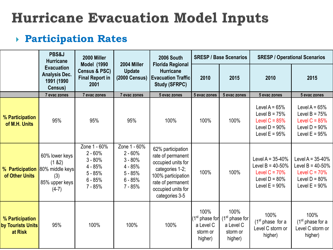### **Participation Rates**

|                                                   | PBS&J<br>2000 Miller<br><b>Hurricane</b>                           |                                                                                            |                                                                                            | 2006 South                                                                                                                                                         |                                                                        | <b>SRESP / Base Scenarios</b>                                | <b>SRESP / Operational Scenarios</b>                                                                  |                                                                                                       |  |
|---------------------------------------------------|--------------------------------------------------------------------|--------------------------------------------------------------------------------------------|--------------------------------------------------------------------------------------------|--------------------------------------------------------------------------------------------------------------------------------------------------------------------|------------------------------------------------------------------------|--------------------------------------------------------------|-------------------------------------------------------------------------------------------------------|-------------------------------------------------------------------------------------------------------|--|
|                                                   | <b>Evacuation</b><br><b>Analysis Dec.</b><br>1991 (1990<br>Census) | <b>Model (1990)</b><br><b>Census &amp; PSC)</b><br><b>Final Report in</b><br>2001          | 2004 Miller<br><b>Update</b><br><b>(2000 Census)</b>                                       | <b>Florida Regional</b><br><b>Hurricane</b><br><b>Evacuation Traffic</b><br><b>Study (SFRPC)</b>                                                                   | 2010                                                                   | 2015                                                         | 2010                                                                                                  | 2015                                                                                                  |  |
|                                                   | 7 evac zones                                                       | 7 evac zones                                                                               | 7 evac zones                                                                               | 5 evac zones                                                                                                                                                       | 5 evac zones                                                           | 5 evac zones                                                 | 5 evac zones                                                                                          | 5 evac zones                                                                                          |  |
| % Participation<br>of M.H. Units                  | 95%                                                                | 95%                                                                                        | 95%                                                                                        | 100%                                                                                                                                                               | 100%                                                                   | 100%                                                         | Level A = $65%$<br>Level B = $75%$<br>Level $C = 85%$<br>Level $D = 90\%$<br>Level E = $95\%$         | Level A = $65%$<br>Level B = $75%$<br>Level $C = 85%$<br>Level $D = 90\%$<br>Level $E = 95%$          |  |
| % Participation 80% middle keys<br>of Other Units | 60% lower keys<br>(1 82)<br>(3)<br>85% upper keys<br>$(4-7)$       | Zone 1 - 60%<br>$2 - 60%$<br>$3 - 80%$<br>$4 - 85%$<br>$5 - 85%$<br>$6 - 85%$<br>$7 - 85%$ | Zone 1 - 60%<br>$2 - 60%$<br>$3 - 80%$<br>$4 - 85%$<br>$5 - 85%$<br>$6 - 85%$<br>$7 - 85%$ | 62% participation<br>rate of permanent<br>occupied units for<br>categories 1-2;<br>100% participation<br>rate of permanent<br>occupied units for<br>categories 3-5 | 100%                                                                   | 100%                                                         | Level A = $35-40%$<br>Level B = $40 - 50%$<br>Level $C = 70%$<br>Level $D = 80\%$<br>Level E = $90\%$ | Level A = $35-40%$<br>Level B = $40 - 50%$<br>Level $C = 70%$<br>Level $D = 80\%$<br>Level $E = 90\%$ |  |
| % Participation<br>by Tourists Units<br>at Risk   | 95%                                                                | 100%                                                                                       | 100%                                                                                       | 100%                                                                                                                                                               | 100%<br>(1 <sup>st</sup> phase for<br>a Level C<br>storm or<br>higher) | 100%<br>$(1st$ phase for<br>a Level C<br>storm or<br>higher) | 100%<br>(1 <sup>st</sup> phase for a)<br>Level C storm or<br>higher)                                  | 100%<br>(1 <sup>st</sup> phase for a)<br>Level C storm or<br>higher)                                  |  |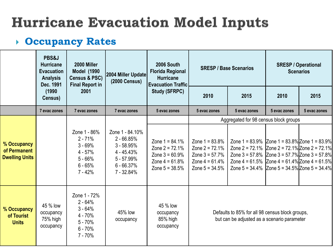### **Occupancy Rates**

|                                                      | PBS&J<br><b>Hurricane</b><br><b>Evacuation</b><br><b>Analysis</b><br>Dec. 1991 | 2000 Miller<br><b>Model (1990</b><br><b>Census &amp; PSC)</b><br><b>Final Report in</b>  | 2004 Miller Update<br><b>(2000 Census)</b>                                                                    | 2006 South<br><b>Florida Regional</b><br><b>Hurricane</b><br><b>Evacuation Traffic</b>            | <b>SRESP / Base Scenarios</b>                                                                     |                                                                                                                                                                                                                                                                              | <b>SRESP / Operational</b><br><b>Scenarios</b> |              |
|------------------------------------------------------|--------------------------------------------------------------------------------|------------------------------------------------------------------------------------------|---------------------------------------------------------------------------------------------------------------|---------------------------------------------------------------------------------------------------|---------------------------------------------------------------------------------------------------|------------------------------------------------------------------------------------------------------------------------------------------------------------------------------------------------------------------------------------------------------------------------------|------------------------------------------------|--------------|
|                                                      | (1990)<br>2001<br>Census)                                                      |                                                                                          |                                                                                                               | <b>Study (SFRPC)</b>                                                                              | 2010                                                                                              | 2015                                                                                                                                                                                                                                                                         | 2010                                           | 2015         |
|                                                      | 7 evac zones                                                                   | 7 evac zones                                                                             | 7 evac zones                                                                                                  | 5 evac zones                                                                                      | 5 evac zones                                                                                      | 5 evac zones                                                                                                                                                                                                                                                                 | 5 evac zones                                   | 5 evac zones |
|                                                      |                                                                                |                                                                                          |                                                                                                               |                                                                                                   |                                                                                                   | Aggregated for 98 census block groups                                                                                                                                                                                                                                        |                                                |              |
| % Occupancy<br>of Permanent<br><b>Dwelling Units</b> | $2 - 71%$<br>$3 - 69%$<br>$4 - 57%$<br>$5 - 66%$<br>$6 - 65%$<br>$7 - 42%$     | Zone 1 - 86%                                                                             | Zone 1 - 84.10%<br>$2 - 66.85%$<br>$3 - 58.95%$<br>$4 - 45.43%$<br>$5 - 57.99%$<br>$6 - 66.37%$<br>7 - 32.84% | Zone $1 = 84.1\%$<br>Zone $2 = 72.1%$<br>Zone $3 = 60.9%$<br>Zone $4 = 61.8%$<br>Zone $5 = 38.5%$ | Zone $1 = 83.8\%$<br>Zone $2 = 72.1%$<br>Zone $3 = 57.7%$<br>Zone $4 = 61.4%$<br>Zone $5 = 34.5%$ | Zone 1 = $83.9\%$ Zone 1 = $83.8\%$ Zone 1 = $83.9\%$<br>Zone 2 = 72.1% $ Zone 2 = 72.1\% Zone 2 = 72.1\%$<br>Zone $3 = 57.8\%$ Zone $3 = 57.7\%$ Zone $3 = 57.8\%$<br>Zone 4 = 61.5% Zone 4 = 61.4% Zone 4 = 61.5%<br>Zone 5 = $34.4\%$ Zone 5 = $34.5\%$ Zone 5 = $34.4\%$ |                                                |              |
| % Occupancy<br>of Tourist<br><b>Units</b>            | 45 % low<br>occupancy<br>75% high<br>occupancy                                 | Zone 1 - 72%<br>$2 - 64%$<br>$3 - 64%$<br>4 - 70%<br>$5 - 70%$<br>$6 - 70%$<br>$7 - 70%$ | 45% low<br>occupancy                                                                                          | 45 % low<br>occupancy<br>85% high<br>occupancy                                                    | Defaults to 85% for all 98 census block groups,<br>but can be adjusted as a scenario parameter    |                                                                                                                                                                                                                                                                              |                                                |              |